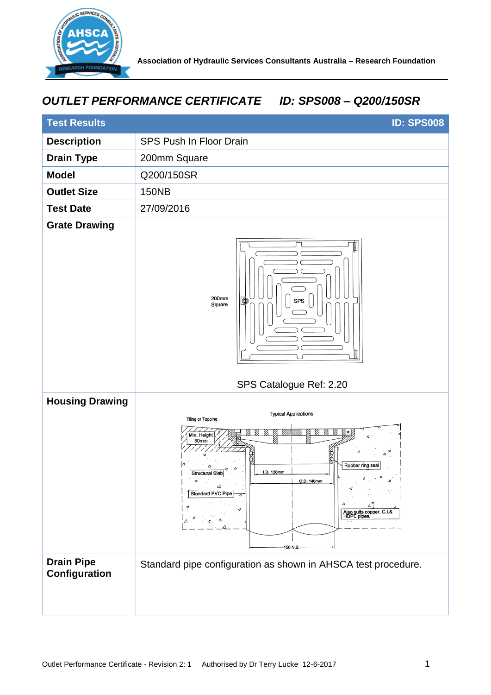

## *OUTLET PERFORMANCE CERTIFICATE ID: SPS008 – Q200/150SR*

| <b>Test Results</b>                | <b>ID: SPS008</b>                                                                                                                                                                                                                         |
|------------------------------------|-------------------------------------------------------------------------------------------------------------------------------------------------------------------------------------------------------------------------------------------|
| <b>Description</b>                 | SPS Push In Floor Drain                                                                                                                                                                                                                   |
| <b>Drain Type</b>                  | 200mm Square                                                                                                                                                                                                                              |
| <b>Model</b>                       | Q200/150SR                                                                                                                                                                                                                                |
| <b>Outlet Size</b>                 | <b>150NB</b>                                                                                                                                                                                                                              |
| <b>Test Date</b>                   | 27/09/2016                                                                                                                                                                                                                                |
| <b>Grate Drawing</b>               | 200mm<br><b>SPS</b><br>⊕<br>Square<br>SPS Catalogue Ref: 2.20                                                                                                                                                                             |
| <b>Housing Drawing</b>             | <b>Typical Applications</b><br><b>Tiling or Topping</b><br>Min. Height<br>30mm<br>Rubber ring seal<br>Λ<br>I.D. 138mm<br><b>Structural Slab</b><br>ᢦ<br>△<br>Standard PVC Pipe<br>Also suits copper, C.I.&<br>HDPE pipes.<br>Δ<br>150 N.B |
| <b>Drain Pipe</b><br>Configuration | Standard pipe configuration as shown in AHSCA test procedure.                                                                                                                                                                             |